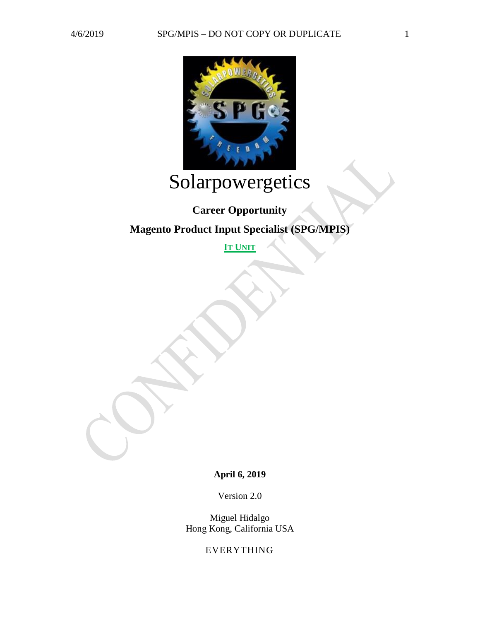

# Solarpowergetics

## **Career Opportunity**

### **Magento Product Input Specialist (SPG/MPIS)**

**IT UNIT**

**April 6, 2019**

Version 2.0

Miguel Hidalgo Hong Kong, California USA

EVERYTHING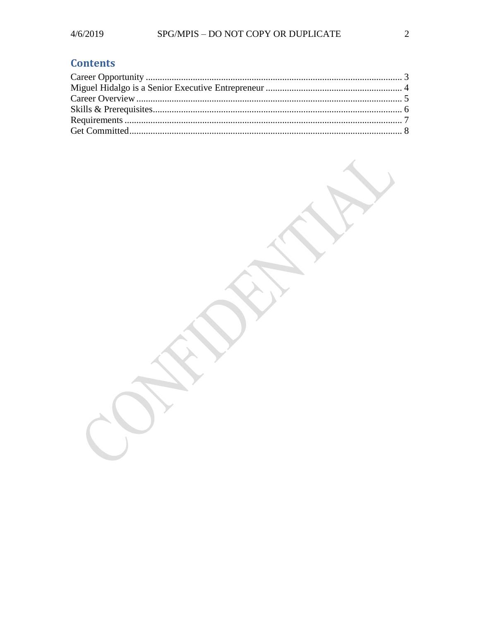## **Contents**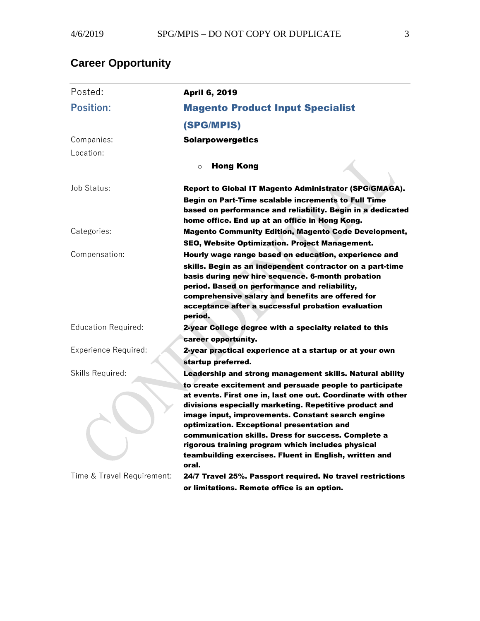## <span id="page-2-0"></span>**Career Opportunity**

| Posted:                     | <b>April 6, 2019</b>                                                                                                                                                                                                                                                                  |
|-----------------------------|---------------------------------------------------------------------------------------------------------------------------------------------------------------------------------------------------------------------------------------------------------------------------------------|
| <b>Position:</b>            | <b>Magento Product Input Specialist</b>                                                                                                                                                                                                                                               |
|                             | (SPG/MPIS)                                                                                                                                                                                                                                                                            |
| Companies:                  | <b>Solarpowergetics</b>                                                                                                                                                                                                                                                               |
| Location:                   |                                                                                                                                                                                                                                                                                       |
|                             | <b>Hong Kong</b><br>$\circ$                                                                                                                                                                                                                                                           |
| Job Status:                 | Report to Global IT Magento Administrator (SPG/GMAGA).                                                                                                                                                                                                                                |
|                             | Begin on Part-Time scalable increments to Full Time<br>based on performance and reliability. Begin in a dedicated<br>home office. End up at an office in Hong Kong.                                                                                                                   |
| Categories:                 | <b>Magento Community Edition, Magento Code Development,</b><br>SEO, Website Optimization. Project Management.                                                                                                                                                                         |
| Compensation:               | Hourly wage range based on education, experience and                                                                                                                                                                                                                                  |
|                             | skills. Begin as an independent contractor on a part-time<br>basis during new hire sequence. 6-month probation<br>period. Based on performance and reliability,<br>comprehensive salary and benefits are offered for<br>acceptance after a successful probation evaluation<br>period. |
| <b>Education Required:</b>  | 2-year College degree with a specialty related to this                                                                                                                                                                                                                                |
|                             | career opportunity.                                                                                                                                                                                                                                                                   |
| <b>Experience Required:</b> | 2-year practical experience at a startup or at your own<br>startup preferred.                                                                                                                                                                                                         |
| Skills Required:            | Leadership and strong management skills. Natural ability                                                                                                                                                                                                                              |
|                             | to create excitement and persuade people to participate<br>at events. First one in, last one out. Coordinate with other<br>divisions especially marketing. Repetitive product and                                                                                                     |
|                             | image input, improvements. Constant search engine<br>optimization. Exceptional presentation and<br>communication skills. Dress for success. Complete a<br>rigorous training program which includes physical<br>teambuilding exercises. Fluent in English, written and<br>oral.        |
| Time & Travel Requirement:  | 24/7 Travel 25%. Passport required. No travel restrictions<br>or limitations. Remote office is an option.                                                                                                                                                                             |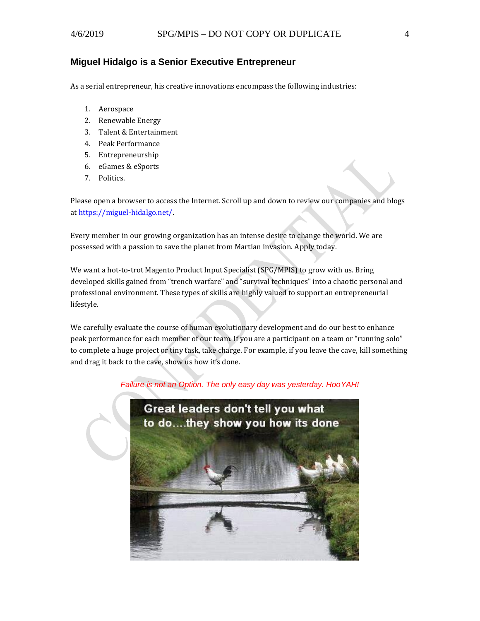#### <span id="page-3-0"></span>**Miguel Hidalgo is a Senior Executive Entrepreneur**

As a serial entrepreneur, his creative innovations encompass the following industries:

- 1. Aerospace
- 2. Renewable Energy
- 3. Talent & Entertainment
- 4. Peak Performance
- 5. Entrepreneurship
- 6. eGames & eSports
- 7. Politics.

Please open a browser to access the Internet. Scroll up and down to review our companies and blogs a[t https://miguel-hidalgo.net/.](https://miguel-hidalgo.net/)

Every member in our growing organization has an intense desire to change the world. We are possessed with a passion to save the planet from Martian invasion. Apply today.

We want a hot-to-trot Magento Product Input Specialist (SPG/MPIS) to grow with us. Bring developed skills gained from "trench warfare" and "survival techniques" into a chaotic personal and professional environment. These types of skills are highly valued to support an entrepreneurial lifestyle.

We carefully evaluate the course of human evolutionary development and do our best to enhance peak performance for each member of our team. If you are a participant on a team or "running solo" to complete a huge project or tiny task, take charge. For example, if you leave the cave, kill something and drag it back to the cave, show us how it's done.

#### *Failure is not an Option. The only easy day was yesterday. HooYAH!*

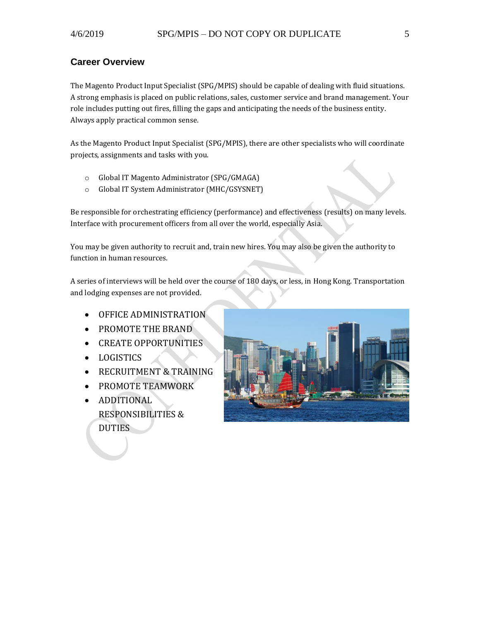#### <span id="page-4-0"></span>**Career Overview**

The Magento Product Input Specialist (SPG/MPIS) should be capable of dealing with fluid situations. A strong emphasis is placed on public relations, sales, customer service and brand management. Your role includes putting out fires, filling the gaps and anticipating the needs of the business entity. Always apply practical common sense.

As the Magento Product Input Specialist (SPG/MPIS), there are other specialists who will coordinate projects, assignments and tasks with you.

- o Global IT Magento Administrator (SPG/GMAGA)
- o Global IT System Administrator (MHC/GSYSNET)

Be responsible for orchestrating efficiency (performance) and effectiveness (results) on many levels. Interface with procurement officers from all over the world, especially Asia.

You may be given authority to recruit and, train new hires. You may also be given the authority to function in human resources.

A series of interviews will be held over the course of 180 days, or less, in Hong Kong. Transportation and lodging expenses are not provided.

- OFFICE ADMINISTRATION
- PROMOTE THE BRAND
- CREATE OPPORTUNITIES
- LOGISTICS
- RECRUITMENT & TRAINING
- PROMOTE TEAMWORK
- ADDITIONAL RESPONSIBILITIES & DUTIES

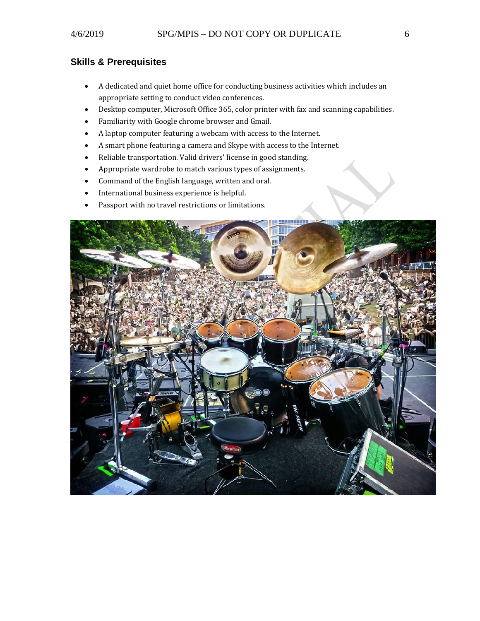#### <span id="page-5-0"></span>**Skills & Prerequisites**

- A dedicated and quiet home office for conducting business activities which includes an appropriate setting to conduct video conferences.
- Desktop computer, Microsoft Office 365, color printer with fax and scanning capabilities.
- Familiarity with Google chrome browser and Gmail.
- A laptop computer featuring a webcam with access to the Internet.
- A smart phone featuring a camera and Skype with access to the Internet.
- Reliable transportation. Valid drivers' license in good standing.
- Appropriate wardrobe to match various types of assignments.
- Command of the English language, written and oral.
- International business experience is helpful.
- Passport with no travel restrictions or limitations.

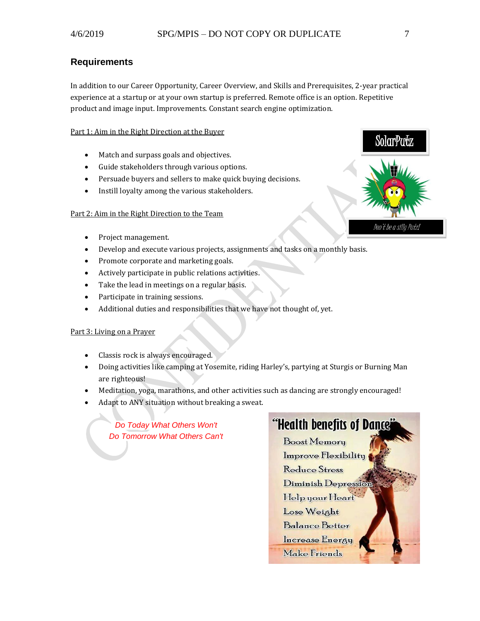#### <span id="page-6-0"></span>**Requirements**

In addition to our Career Opportunity, Career Overview, and Skills and Prerequisites, 2-year practical experience at a startup or at your own startup is preferred. Remote office is an option. Repetitive product and image input. Improvements. Constant search engine optimization.

#### Part 1: Aim in the Right Direction at the Buyer

- Match and surpass goals and objectives.
- Guide stakeholders through various options.
- Persuade buyers and sellers to make quick buying decisions.
- Instill loyalty among the various stakeholders.

#### Part 2: Aim in the Right Direction to the Team

- Project management.
- Develop and execute various projects, assignments and tasks on a monthly basis.
- Promote corporate and marketing goals.
- Actively participate in public relations activities.
- Take the lead in meetings on a regular basis.
- Participate in training sessions.
- Additional duties and responsibilities that we have not thought of, yet.

#### Part 3: Living on a Prayer

- Classis rock is always encouraged.
- Doing activities like camping at Yosemite, riding Harley's, partying at Sturgis or Burning Man are righteous!
- Meditation, yoga, marathons, and other activities such as dancing are strongly encouraged!
- Adapt to ANY situation without breaking a sweat.

*Do Today What Others Won't Do Tomorrow What Others Can't*